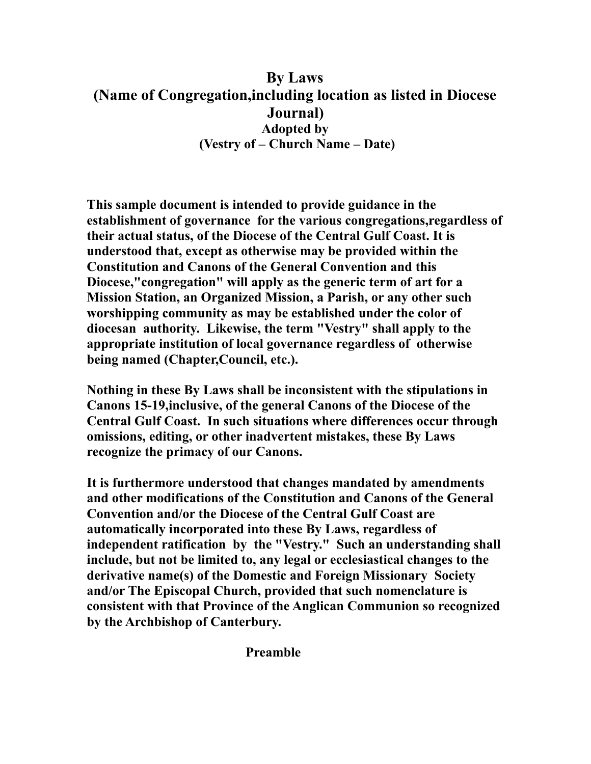# **By Laws (Name of Congregation,including location as listed in Diocese Journal) Adopted by (Vestry of – Church Name – Date)**

**This sample document is intended to provide guidance in the establishment of governance for the various congregations,regardless of their actual status, of the Diocese of the Central Gulf Coast. It is understood that, except as otherwise may be provided within the Constitution and Canons of the General Convention and this Diocese,"congregation" will apply as the generic term of art for a Mission Station, an Organized Mission, a Parish, or any other such worshipping community as may be established under the color of diocesan authority. Likewise, the term "Vestry" shall apply to the appropriate institution of local governance regardless of otherwise being named (Chapter,Council, etc.).** 

**Nothing in these By Laws shall be inconsistent with the stipulations in Canons 15-19,inclusive, of the general Canons of the Diocese of the Central Gulf Coast. In such situations where differences occur through omissions, editing, or other inadvertent mistakes, these By Laws recognize the primacy of our Canons.** 

**It is furthermore understood that changes mandated by amendments and other modifications of the Constitution and Canons of the General Convention and/or the Diocese of the Central Gulf Coast are automatically incorporated into these By Laws, regardless of independent ratification by the "Vestry." Such an understanding shall include, but not be limited to, any legal or ecclesiastical changes to the derivative name(s) of the Domestic and Foreign Missionary Society and/or The Episcopal Church, provided that such nomenclature is consistent with that Province of the Anglican Communion so recognized by the Archbishop of Canterbury.** 

 **Preamble**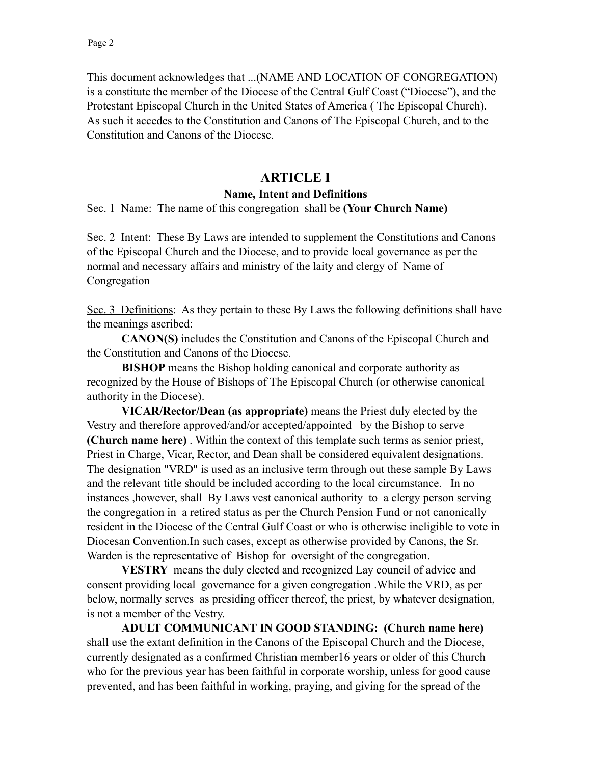This document acknowledges that ...(NAME AND LOCATION OF CONGREGATION) is a constitute the member of the Diocese of the Central Gulf Coast ("Diocese"), and the Protestant Episcopal Church in the United States of America ( The Episcopal Church). As such it accedes to the Constitution and Canons of The Episcopal Church, and to the Constitution and Canons of the Diocese.

# **ARTICLE I**

#### **Name, Intent and Definitions**

Sec. 1 Name: The name of this congregation shall be **(Your Church Name)**

Sec. 2 Intent: These By Laws are intended to supplement the Constitutions and Canons of the Episcopal Church and the Diocese, and to provide local governance as per the normal and necessary affairs and ministry of the laity and clergy of Name of Congregation

Sec. 3 Definitions: As they pertain to these By Laws the following definitions shall have the meanings ascribed:

**CANON(S)** includes the Constitution and Canons of the Episcopal Church and the Constitution and Canons of the Diocese.

**BISHOP** means the Bishop holding canonical and corporate authority as recognized by the House of Bishops of The Episcopal Church (or otherwise canonical authority in the Diocese).

**VICAR/Rector/Dean (as appropriate)** means the Priest duly elected by the Vestry and therefore approved/and/or accepted/appointed by the Bishop to serve **(Church name here)** . Within the context of this template such terms as senior priest, Priest in Charge, Vicar, Rector, and Dean shall be considered equivalent designations. The designation "VRD" is used as an inclusive term through out these sample By Laws and the relevant title should be included according to the local circumstance. In no instances ,however, shall By Laws vest canonical authority to a clergy person serving the congregation in a retired status as per the Church Pension Fund or not canonically resident in the Diocese of the Central Gulf Coast or who is otherwise ineligible to vote in Diocesan Convention.In such cases, except as otherwise provided by Canons, the Sr. Warden is the representative of Bishop for oversight of the congregation.

**VESTRY** means the duly elected and recognized Lay council of advice and consent providing local governance for a given congregation .While the VRD, as per below, normally serves as presiding officer thereof, the priest, by whatever designation, is not a member of the Vestry.

 **ADULT COMMUNICANT IN GOOD STANDING: (Church name here)**  shall use the extant definition in the Canons of the Episcopal Church and the Diocese, currently designated as a confirmed Christian member16 years or older of this Church who for the previous year has been faithful in corporate worship, unless for good cause prevented, and has been faithful in working, praying, and giving for the spread of the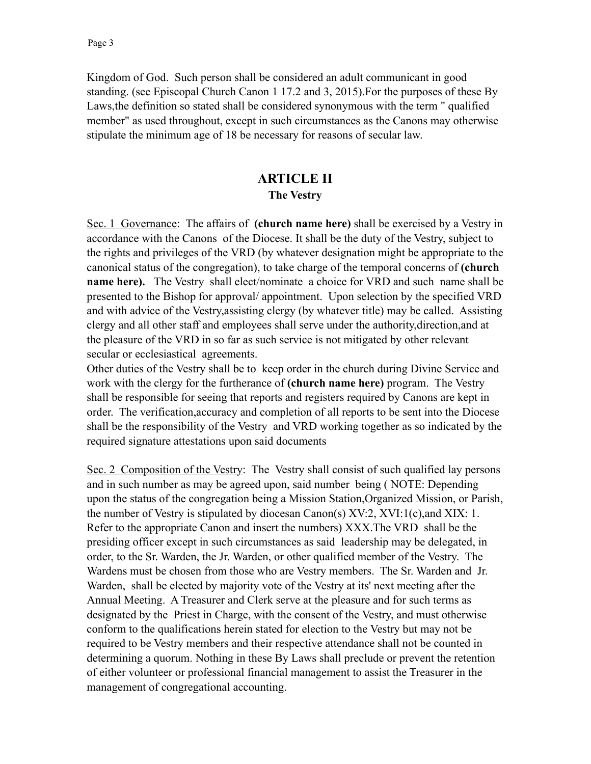Kingdom of God. Such person shall be considered an adult communicant in good standing. (see Episcopal Church Canon 1 17.2 and 3, 2015).For the purposes of these By Laws,the definition so stated shall be considered synonymous with the term " qualified member" as used throughout, except in such circumstances as the Canons may otherwise stipulate the minimum age of 18 be necessary for reasons of secular law.

# **ARTICLE II The Vestry**

Sec. 1 Governance: The affairs of **(church name here)** shall be exercised by a Vestry in accordance with the Canons of the Diocese. It shall be the duty of the Vestry, subject to the rights and privileges of the VRD (by whatever designation might be appropriate to the canonical status of the congregation), to take charge of the temporal concerns of **(church name here).** The Vestry shall elect/nominate a choice for VRD and such name shall be presented to the Bishop for approval/ appointment. Upon selection by the specified VRD and with advice of the Vestry,assisting clergy (by whatever title) may be called. Assisting clergy and all other staff and employees shall serve under the authority,direction,and at the pleasure of the VRD in so far as such service is not mitigated by other relevant secular or ecclesiastical agreements.

Other duties of the Vestry shall be to keep order in the church during Divine Service and work with the clergy for the furtherance of **(church name here)** program. The Vestry shall be responsible for seeing that reports and registers required by Canons are kept in order. The verification,accuracy and completion of all reports to be sent into the Diocese shall be the responsibility of the Vestry and VRD working together as so indicated by the required signature attestations upon said documents

Sec. 2 Composition of the Vestry: The Vestry shall consist of such qualified lay persons and in such number as may be agreed upon, said number being ( NOTE: Depending upon the status of the congregation being a Mission Station,Organized Mission, or Parish, the number of Vestry is stipulated by diocesan Canon(s) XV:2, XVI:1(c),and XIX: 1. Refer to the appropriate Canon and insert the numbers) XXX.The VRD shall be the presiding officer except in such circumstances as said leadership may be delegated, in order, to the Sr. Warden, the Jr. Warden, or other qualified member of the Vestry. The Wardens must be chosen from those who are Vestry members. The Sr. Warden and Jr. Warden, shall be elected by majority vote of the Vestry at its' next meeting after the Annual Meeting. A Treasurer and Clerk serve at the pleasure and for such terms as designated by the Priest in Charge, with the consent of the Vestry, and must otherwise conform to the qualifications herein stated for election to the Vestry but may not be required to be Vestry members and their respective attendance shall not be counted in determining a quorum. Nothing in these By Laws shall preclude or prevent the retention of either volunteer or professional financial management to assist the Treasurer in the management of congregational accounting.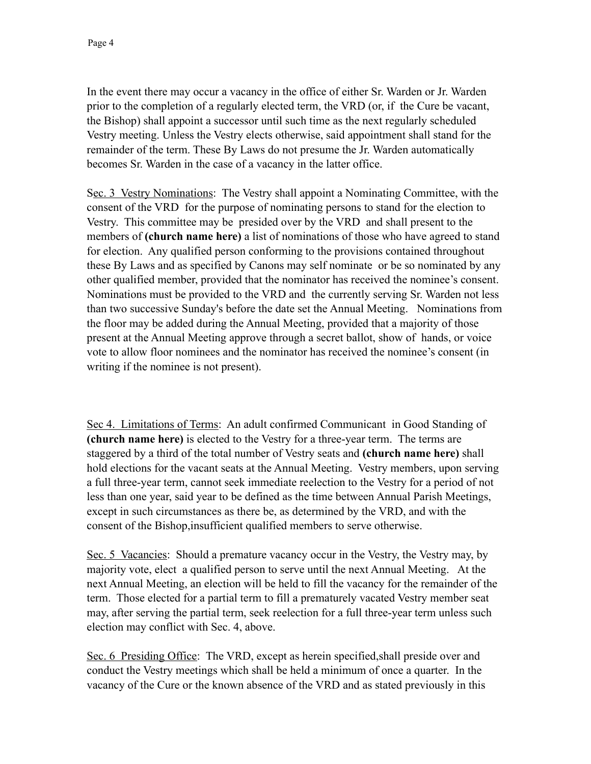In the event there may occur a vacancy in the office of either Sr. Warden or Jr. Warden prior to the completion of a regularly elected term, the VRD (or, if the Cure be vacant, the Bishop) shall appoint a successor until such time as the next regularly scheduled Vestry meeting. Unless the Vestry elects otherwise, said appointment shall stand for the remainder of the term. These By Laws do not presume the Jr. Warden automatically becomes Sr. Warden in the case of a vacancy in the latter office.

Sec. 3 Vestry Nominations: The Vestry shall appoint a Nominating Committee, with the consent of the VRD for the purpose of nominating persons to stand for the election to Vestry. This committee may be presided over by the VRD and shall present to the members of **(church name here)** a list of nominations of those who have agreed to stand for election. Any qualified person conforming to the provisions contained throughout these By Laws and as specified by Canons may self nominate or be so nominated by any other qualified member, provided that the nominator has received the nominee's consent. Nominations must be provided to the VRD and the currently serving Sr. Warden not less than two successive Sunday's before the date set the Annual Meeting. Nominations from the floor may be added during the Annual Meeting, provided that a majority of those present at the Annual Meeting approve through a secret ballot, show of hands, or voice vote to allow floor nominees and the nominator has received the nominee's consent (in writing if the nominee is not present).

Sec 4. Limitations of Terms: An adult confirmed Communicant in Good Standing of **(church name here)** is elected to the Vestry for a three-year term. The terms are staggered by a third of the total number of Vestry seats and **(church name here)** shall hold elections for the vacant seats at the Annual Meeting. Vestry members, upon serving a full three-year term, cannot seek immediate reelection to the Vestry for a period of not less than one year, said year to be defined as the time between Annual Parish Meetings, except in such circumstances as there be, as determined by the VRD, and with the consent of the Bishop,insufficient qualified members to serve otherwise.

Sec. 5 Vacancies: Should a premature vacancy occur in the Vestry, the Vestry may, by majority vote, elect a qualified person to serve until the next Annual Meeting. At the next Annual Meeting, an election will be held to fill the vacancy for the remainder of the term. Those elected for a partial term to fill a prematurely vacated Vestry member seat may, after serving the partial term, seek reelection for a full three-year term unless such election may conflict with Sec. 4, above.

Sec. 6 Presiding Office: The VRD, except as herein specified, shall preside over and conduct the Vestry meetings which shall be held a minimum of once a quarter. In the vacancy of the Cure or the known absence of the VRD and as stated previously in this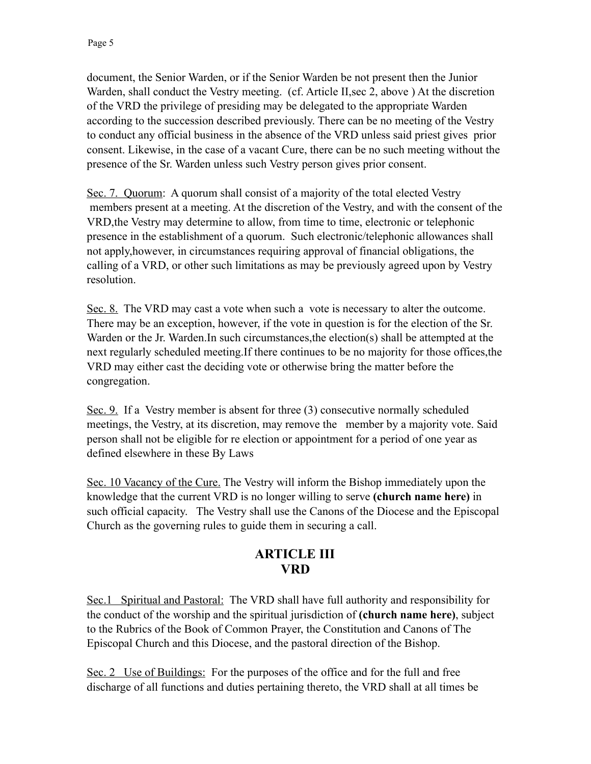document, the Senior Warden, or if the Senior Warden be not present then the Junior Warden, shall conduct the Vestry meeting. (cf. Article II,sec 2, above ) At the discretion of the VRD the privilege of presiding may be delegated to the appropriate Warden according to the succession described previously. There can be no meeting of the Vestry to conduct any official business in the absence of the VRD unless said priest gives prior consent. Likewise, in the case of a vacant Cure, there can be no such meeting without the presence of the Sr. Warden unless such Vestry person gives prior consent.

Sec. 7. Quorum: A quorum shall consist of a majority of the total elected Vestry members present at a meeting. At the discretion of the Vestry, and with the consent of the VRD,the Vestry may determine to allow, from time to time, electronic or telephonic presence in the establishment of a quorum. Such electronic/telephonic allowances shall not apply,however, in circumstances requiring approval of financial obligations, the calling of a VRD, or other such limitations as may be previously agreed upon by Vestry resolution.

Sec. 8. The VRD may cast a vote when such a vote is necessary to alter the outcome. There may be an exception, however, if the vote in question is for the election of the Sr. Warden or the Jr. Warden.In such circumstances,the election(s) shall be attempted at the next regularly scheduled meeting.If there continues to be no majority for those offices,the VRD may either cast the deciding vote or otherwise bring the matter before the congregation.

Sec. 9. If a Vestry member is absent for three (3) consecutive normally scheduled meetings, the Vestry, at its discretion, may remove the member by a majority vote. Said person shall not be eligible for re election or appointment for a period of one year as defined elsewhere in these By Laws

Sec. 10 Vacancy of the Cure. The Vestry will inform the Bishop immediately upon the knowledge that the current VRD is no longer willing to serve **(church name here)** in such official capacity. The Vestry shall use the Canons of the Diocese and the Episcopal Church as the governing rules to guide them in securing a call.

# **ARTICLE III VRD**

Sec.1 Spiritual and Pastoral: The VRD shall have full authority and responsibility for the conduct of the worship and the spiritual jurisdiction of **(church name here)**, subject to the Rubrics of the Book of Common Prayer, the Constitution and Canons of The Episcopal Church and this Diocese, and the pastoral direction of the Bishop.

Sec. 2 Use of Buildings: For the purposes of the office and for the full and free discharge of all functions and duties pertaining thereto, the VRD shall at all times be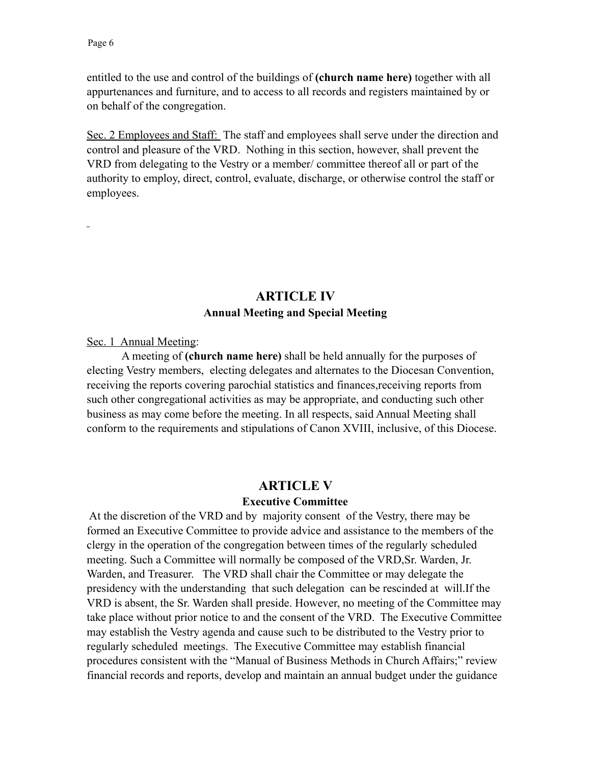entitled to the use and control of the buildings of **(church name here)** together with all appurtenances and furniture, and to access to all records and registers maintained by or on behalf of the congregation.

Sec. 2 Employees and Staff: The staff and employees shall serve under the direction and control and pleasure of the VRD. Nothing in this section, however, shall prevent the VRD from delegating to the Vestry or a member/ committee thereof all or part of the authority to employ, direct, control, evaluate, discharge, or otherwise control the staff or employees.

## **ARTICLE IV Annual Meeting and Special Meeting**

Sec. 1 Annual Meeting:

 A meeting of **(church name here)** shall be held annually for the purposes of electing Vestry members, electing delegates and alternates to the Diocesan Convention, receiving the reports covering parochial statistics and finances,receiving reports from such other congregational activities as may be appropriate, and conducting such other business as may come before the meeting. In all respects, said Annual Meeting shall conform to the requirements and stipulations of Canon XVIII, inclusive, of this Diocese.

#### **ARTICLE V**

#### **Executive Committee**

 At the discretion of the VRD and by majority consent of the Vestry, there may be formed an Executive Committee to provide advice and assistance to the members of the clergy in the operation of the congregation between times of the regularly scheduled meeting. Such a Committee will normally be composed of the VRD,Sr. Warden, Jr. Warden, and Treasurer. The VRD shall chair the Committee or may delegate the presidency with the understanding that such delegation can be rescinded at will.If the VRD is absent, the Sr. Warden shall preside. However, no meeting of the Committee may take place without prior notice to and the consent of the VRD. The Executive Committee may establish the Vestry agenda and cause such to be distributed to the Vestry prior to regularly scheduled meetings. The Executive Committee may establish financial procedures consistent with the "Manual of Business Methods in Church Affairs;" review financial records and reports, develop and maintain an annual budget under the guidance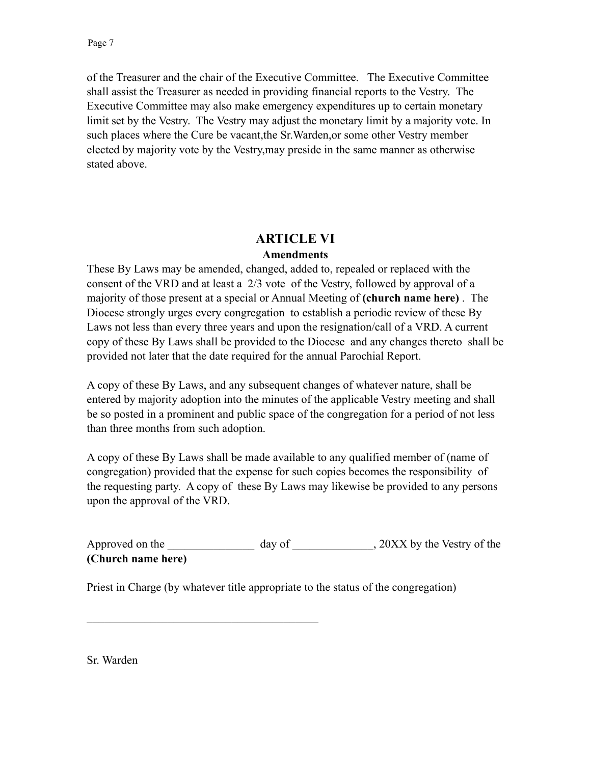of the Treasurer and the chair of the Executive Committee. The Executive Committee shall assist the Treasurer as needed in providing financial reports to the Vestry. The Executive Committee may also make emergency expenditures up to certain monetary limit set by the Vestry. The Vestry may adjust the monetary limit by a majority vote. In such places where the Cure be vacant,the Sr.Warden,or some other Vestry member elected by majority vote by the Vestry,may preside in the same manner as otherwise stated above.

## **ARTICLE VI**

#### **Amendments**

These By Laws may be amended, changed, added to, repealed or replaced with the consent of the VRD and at least a 2/3 vote of the Vestry, followed by approval of a majority of those present at a special or Annual Meeting of **(church name here)** . The Diocese strongly urges every congregation to establish a periodic review of these By Laws not less than every three years and upon the resignation/call of a VRD. A current copy of these By Laws shall be provided to the Diocese and any changes thereto shall be provided not later that the date required for the annual Parochial Report.

A copy of these By Laws, and any subsequent changes of whatever nature, shall be entered by majority adoption into the minutes of the applicable Vestry meeting and shall be so posted in a prominent and public space of the congregation for a period of not less than three months from such adoption.

A copy of these By Laws shall be made available to any qualified member of (name of congregation) provided that the expense for such copies becomes the responsibility of the requesting party. A copy of these By Laws may likewise be provided to any persons upon the approval of the VRD.

Approved on the \_\_\_\_\_\_\_\_\_\_\_\_\_\_\_ day of \_\_\_\_\_\_\_\_\_\_\_, 20XX by the Vestry of the **(Church name here)**

Priest in Charge (by whatever title appropriate to the status of the congregation)

 $\mathcal{L}_\text{max}$ 

Sr. Warden